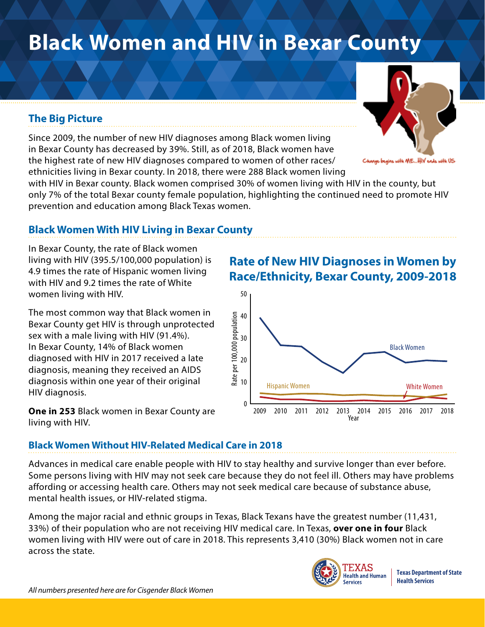# **Black Women and HIV in Bexar County**

## **The Big Picture**

Since 2009, the number of new HIV diagnoses among Black women living in Bexar County has decreased by 39%. Still, as of 2018, Black women have the highest rate of new HIV diagnoses compared to women of other races/ ethnicities living in Bexar county. In 2018, there were 288 Black women living

with HIV in Bexar county. Black women comprised 30% of women living with HIV in the county, but only 7% of the total Bexar county female population, highlighting the continued need to promote HIV prevention and education among Black Texas women.

### **Black Women With HIV Living in Bexar County**

In Bexar County, the rate of Black women living with HIV (395.5/100,000 population) is 4.9 times the rate of Hispanic women living with HIV and 9.2 times the rate of White women living with HIV.

The most common way that Black women in Bexar County get HIV is through unprotected sex with a male living with HIV (91.4%). In Bexar County, 14% of Black women diagnosed with HIV in 2017 received a late diagnosis, meaning they received an AIDS diagnosis within one year of their original HIV diagnosis.

**One in 253** Black women in Bexar County are living with HIV.

## **Rate of New HIV Diagnoses in Women by Race/Ethnicity, Bexar County, 2009-2018**



#### **Black Women Without HIV-Related Medical Care in 2018**

Advances in medical care enable people with HIV to stay healthy and survive longer than ever before. Some persons living with HIV may not seek care because they do not feel ill. Others may have problems affording or accessing health care. Others may not seek medical care because of substance abuse, mental health issues, or HIV-related stigma.

Among the major racial and ethnic groups in Texas, Black Texans have the greatest number (11,431, 33%) of their population who are not receiving HIV medical care. In Texas, **over one in four** Black women living with HIV were out of care in 2018. This represents 3,410 (30%) Black women not in care across the state.





15 with ME…HIV ends with US